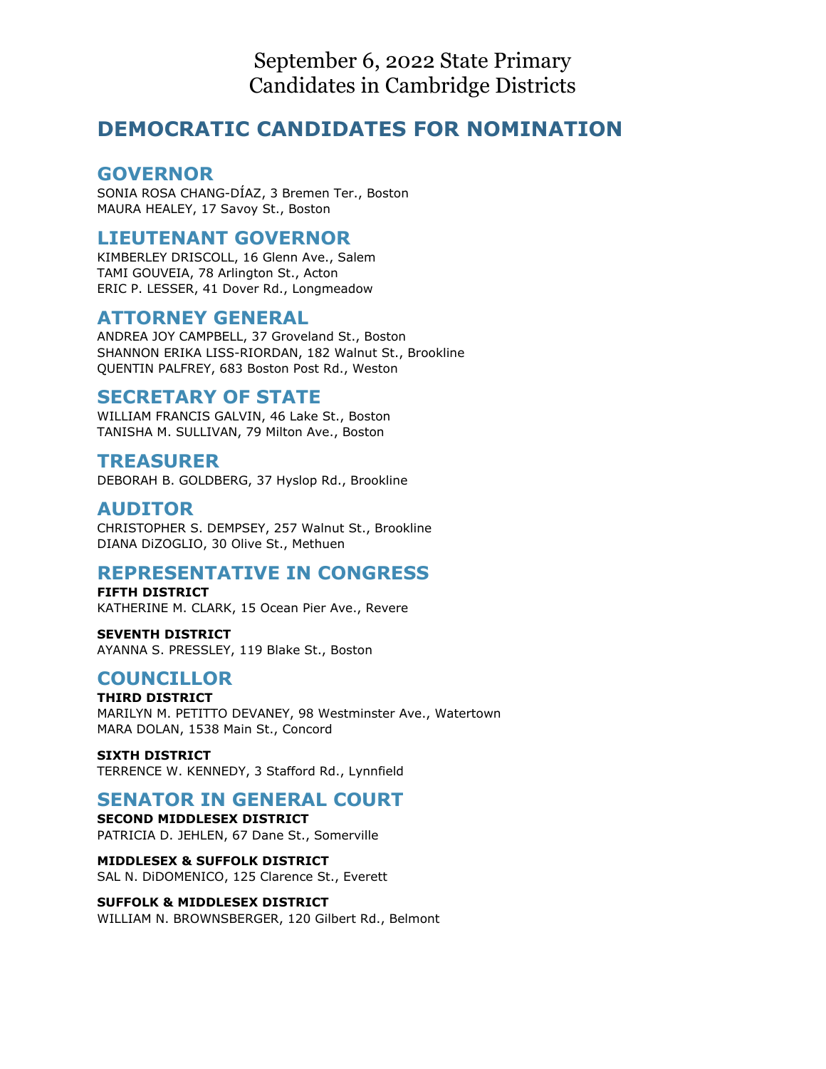September 6, 2022 State Primary Candidates in Cambridge Districts

# **DEMOCRATIC CANDIDATES FOR NOMINATION**

#### **GOVERNOR**

SONIA ROSA CHANG-DÍAZ, 3 Bremen Ter., Boston MAURA HEALEY, 17 Savoy St., Boston

## **LIEUTENANT GOVERNOR**

KIMBERLEY DRISCOLL, 16 Glenn Ave., Salem TAMI GOUVEIA, 78 Arlington St., Acton ERIC P. LESSER, 41 Dover Rd., Longmeadow

### **ATTORNEY GENERAL**

ANDREA JOY CAMPBELL, 37 Groveland St., Boston SHANNON ERIKA LISS-RIORDAN, 182 Walnut St., Brookline QUENTIN PALFREY, 683 Boston Post Rd., Weston

## **SECRETARY OF STATE**

WILLIAM FRANCIS GALVIN, 46 Lake St., Boston TANISHA M. SULLIVAN, 79 Milton Ave., Boston

## **TREASURER**

DEBORAH B. GOLDBERG, 37 Hyslop Rd., Brookline

### **AUDITOR**

CHRISTOPHER S. DEMPSEY, 257 Walnut St., Brookline DIANA DiZOGLIO, 30 Olive St., Methuen

### **REPRESENTATIVE IN CONGRESS**

**FIFTH DISTRICT** KATHERINE M. CLARK, 15 Ocean Pier Ave., Revere

**SEVENTH DISTRICT** AYANNA S. PRESSLEY, 119 Blake St., Boston

### **COUNCILLOR**

**THIRD DISTRICT** MARILYN M. PETITTO DEVANEY, 98 Westminster Ave., Watertown MARA DOLAN, 1538 Main St., Concord

**SIXTH DISTRICT** TERRENCE W. KENNEDY, 3 Stafford Rd., Lynnfield

### **SENATOR IN GENERAL COURT**

**SECOND MIDDLESEX DISTRICT** PATRICIA D. JEHLEN, 67 Dane St., Somerville

**MIDDLESEX & SUFFOLK DISTRICT** SAL N. DiDOMENICO, 125 Clarence St., Everett

#### **SUFFOLK & MIDDLESEX DISTRICT** WILLIAM N. BROWNSBERGER, 120 Gilbert Rd., Belmont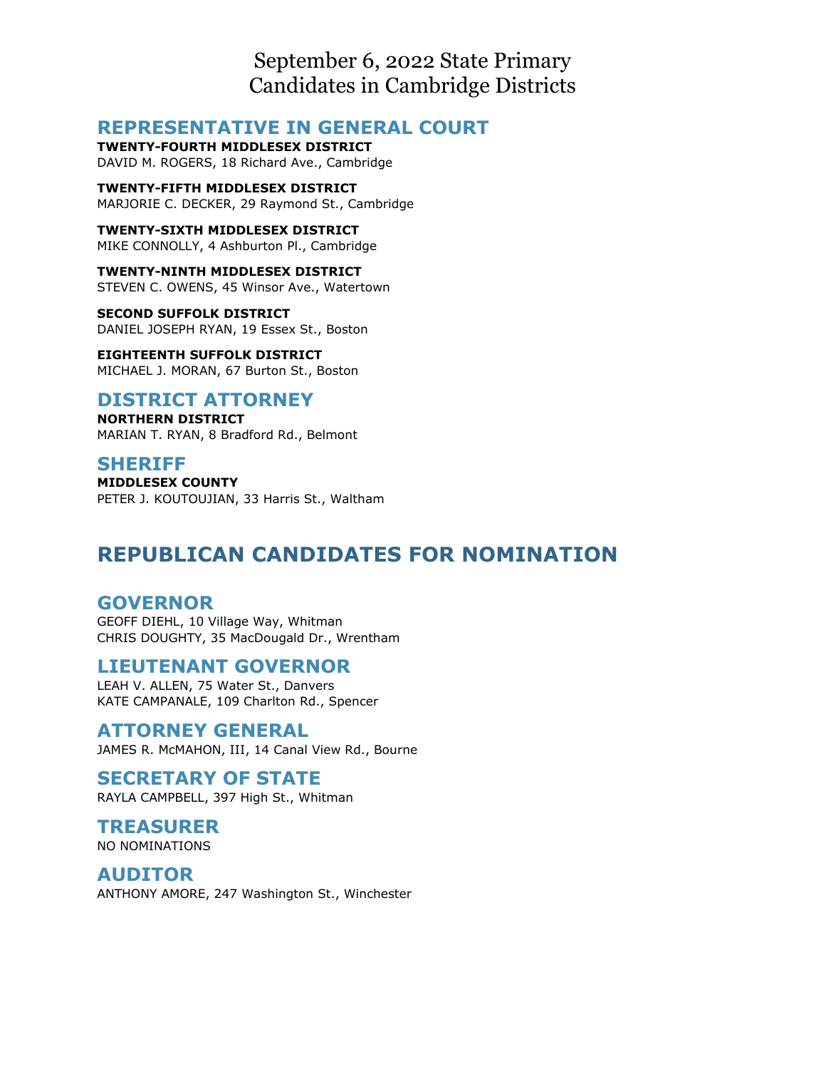September 6, 2022 State Primary Candidates in Cambridge Districts

## **REPRESENTATIVE IN GENERAL COURT**

**TWENTY-FOURTH MIDDLESEX DISTRICT** DAVID M. ROGERS, 18 Richard Ave., Cambridge

**TWENTY-FIFTH MIDDLESEX DISTRICT** MARJORIE C. DECKER, 29 Raymond St., Cambridge

**TWENTY-SIXTH MIDDLESEX DISTRICT** MIKE CONNOLLY, 4 Ashburton Pl., Cambridge

**TWENTY-NINTH MIDDLESEX DISTRICT** STEVEN C. OWENS, 45 Winsor Ave., Watertown

**SECOND SUFFOLK DISTRICT** DANIEL JOSEPH RYAN, 19 Essex St., Boston

**EIGHTEENTH SUFFOLK DISTRICT** MICHAEL J. MORAN, 67 Burton St., Boston

#### **DISTRICT ATTORNEY NORTHERN DISTRICT**

MARIAN T. RYAN, 8 Bradford Rd., Belmont

#### **SHERIFF**

**MIDDLESEX COUNTY** PETER J. KOUTOUJIAN, 33 Harris St., Waltham

# **REPUBLICAN CANDIDATES FOR NOMINATION**

## **GOVERNOR**

GEOFF DIEHL, 10 Village Way, Whitman CHRIS DOUGHTY, 35 MacDougald Dr., Wrentham

### **LIEUTENANT GOVERNOR**

LEAH V. ALLEN, 75 Water St., Danvers KATE CAMPANALE, 109 Charlton Rd., Spencer

### **ATTORNEY GENERAL**

JAMES R. McMAHON, III, 14 Canal View Rd., Bourne

### **SECRETARY OF STATE**

RAYLA CAMPBELL, 397 High St., Whitman

# **TREASURER**

NO NOMINATIONS

#### **AUDITOR** ANTHONY AMORE, 247 Washington St., Winchester